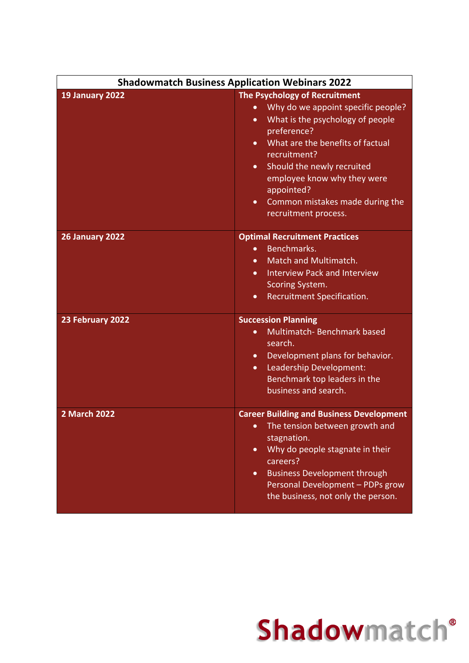| <b>Shadowmatch Business Application Webinars 2022</b> |                                                                                                                                                                                                                                                                                                                                                                                   |
|-------------------------------------------------------|-----------------------------------------------------------------------------------------------------------------------------------------------------------------------------------------------------------------------------------------------------------------------------------------------------------------------------------------------------------------------------------|
| <b>19 January 2022</b>                                | The Psychology of Recruitment<br>Why do we appoint specific people?<br>$\bullet$<br>What is the psychology of people<br>$\bullet$<br>preference?<br>What are the benefits of factual<br>$\bullet$<br>recruitment?<br>Should the newly recruited<br>$\bullet$<br>employee know why they were<br>appointed?<br>Common mistakes made during the<br>$\bullet$<br>recruitment process. |
| <b>26 January 2022</b>                                | <b>Optimal Recruitment Practices</b><br>Benchmarks.<br>$\bullet$<br>Match and Multimatch.<br>$\bullet$<br><b>Interview Pack and Interview</b><br>$\bullet$<br>Scoring System.<br>Recruitment Specification.<br>$\bullet$                                                                                                                                                          |
| 23 February 2022                                      | <b>Succession Planning</b><br>Multimatch-Benchmark based<br>$\bullet$<br>search.<br>Development plans for behavior.<br>$\bullet$<br>Leadership Development:<br>$\bullet$<br>Benchmark top leaders in the<br>business and search.                                                                                                                                                  |
| <b>2 March 2022</b>                                   | <b>Career Building and Business Development</b><br>The tension between growth and<br>$\bullet$<br>stagnation.<br>Why do people stagnate in their<br>$\bullet$<br>careers?<br><b>Business Development through</b><br>$\bullet$<br>Personal Development - PDPs grow<br>the business, not only the person.                                                                           |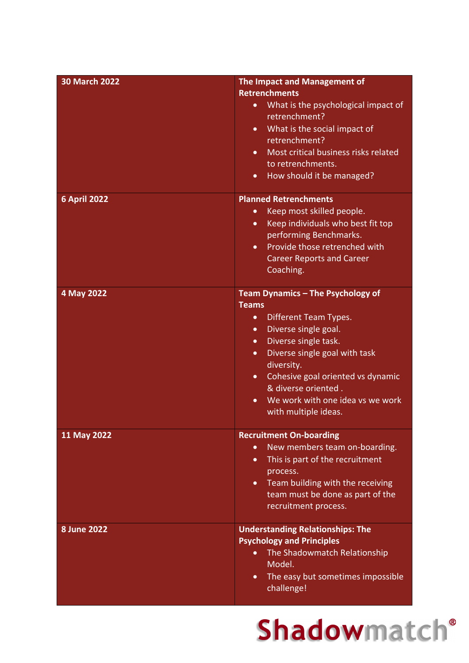| <b>30 March 2022</b> | The Impact and Management of<br><b>Retrenchments</b><br>What is the psychological impact of<br>$\bullet$<br>retrenchment?<br>What is the social impact of<br>$\bullet$<br>retrenchment?<br>Most critical business risks related<br>$\bullet$<br>to retrenchments.<br>How should it be managed?<br>$\bullet$                                                                     |
|----------------------|---------------------------------------------------------------------------------------------------------------------------------------------------------------------------------------------------------------------------------------------------------------------------------------------------------------------------------------------------------------------------------|
| <b>6 April 2022</b>  | <b>Planned Retrenchments</b><br>Keep most skilled people.<br>$\bullet$<br>Keep individuals who best fit top<br>$\bullet$<br>performing Benchmarks.<br>Provide those retrenched with<br>$\bullet$<br><b>Career Reports and Career</b><br>Coaching.                                                                                                                               |
| 4 May 2022           | Team Dynamics - The Psychology of<br><b>Teams</b><br>Different Team Types.<br>$\bullet$<br>Diverse single goal.<br>$\bullet$<br>Diverse single task.<br>$\bullet$<br>Diverse single goal with task<br>$\bullet$<br>diversity.<br>Cohesive goal oriented vs dynamic<br>$\bullet$<br>& diverse oriented.<br>We work with one idea vs we work<br>$\bullet$<br>with multiple ideas. |
| 11 May 2022          | <b>Recruitment On-boarding</b><br>New members team on-boarding.<br>$\bullet$<br>This is part of the recruitment<br>$\bullet$<br>process.<br>Team building with the receiving<br>$\bullet$<br>team must be done as part of the<br>recruitment process.                                                                                                                           |
| <b>8 June 2022</b>   | <b>Understanding Relationships: The</b><br><b>Psychology and Principles</b><br>The Shadowmatch Relationship<br>$\bullet$<br>Model.<br>The easy but sometimes impossible<br>$\bullet$<br>challenge!                                                                                                                                                                              |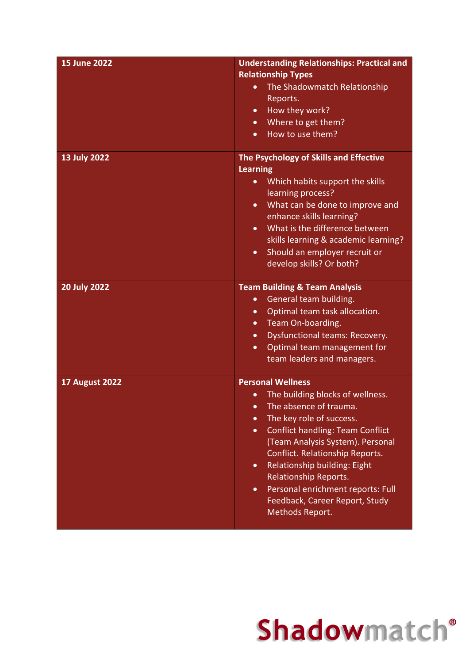| <b>15 June 2022</b>   | <b>Understanding Relationships: Practical and</b><br><b>Relationship Types</b><br>The Shadowmatch Relationship<br>$\bullet$<br>Reports.<br>How they work?<br>$\bullet$<br>Where to get them?<br>$\bullet$<br>How to use them?<br>$\bullet$                                                                                                                                                                                                         |
|-----------------------|----------------------------------------------------------------------------------------------------------------------------------------------------------------------------------------------------------------------------------------------------------------------------------------------------------------------------------------------------------------------------------------------------------------------------------------------------|
| 13 July 2022          | The Psychology of Skills and Effective<br><b>Learning</b><br>Which habits support the skills<br>$\bullet$<br>learning process?<br>What can be done to improve and<br>$\bullet$<br>enhance skills learning?<br>What is the difference between<br>skills learning & academic learning?<br>Should an employer recruit or<br>$\bullet$<br>develop skills? Or both?                                                                                     |
| <b>20 July 2022</b>   | <b>Team Building &amp; Team Analysis</b><br>General team building.<br>$\bullet$<br>Optimal team task allocation.<br>$\bullet$<br>Team On-boarding.<br>$\bullet$<br><b>Dysfunctional teams: Recovery.</b><br>$\bullet$<br>Optimal team management for<br>$\bullet$<br>team leaders and managers.                                                                                                                                                    |
| <b>17 August 2022</b> | <b>Personal Wellness</b><br>The building blocks of wellness.<br>The absence of trauma.<br>The key role of success.<br>$\bullet$<br><b>Conflict handling: Team Conflict</b><br>$\bullet$<br>(Team Analysis System). Personal<br>Conflict. Relationship Reports.<br>Relationship building: Eight<br>$\bullet$<br><b>Relationship Reports.</b><br>Personal enrichment reports: Full<br>$\bullet$<br>Feedback, Career Report, Study<br>Methods Report. |